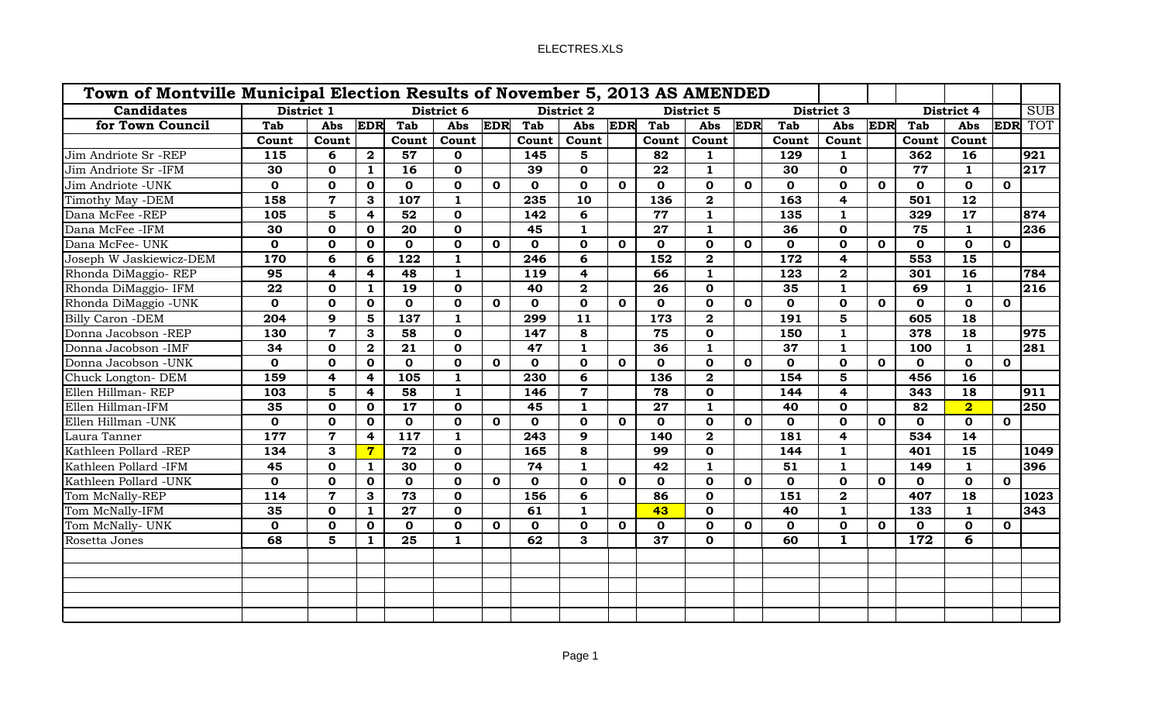| Town of Montville Municipal Election Results of November 5, 2013 AS AMENDED |             |                         |                         |              |              |              |              |                 |              |                 |                         |              |              |                |              |              |                         |                         |                  |
|-----------------------------------------------------------------------------|-------------|-------------------------|-------------------------|--------------|--------------|--------------|--------------|-----------------|--------------|-----------------|-------------------------|--------------|--------------|----------------|--------------|--------------|-------------------------|-------------------------|------------------|
| <b>Candidates</b>                                                           | District 1  |                         |                         | District 6   |              |              | District 2   |                 |              | District 5      |                         |              | District 3   |                |              | District 4   |                         | <b>SUB</b>              |                  |
| for Town Council                                                            | Tab         |                         |                         | Abs EDR Tab  | Abs          |              | EDR Tab      | Abs             |              | EDR Tab         | Abs EDR                 |              | Tab          | Abs            |              | EDR Tab      | Abs                     |                         | <b>EDR</b> TOT   |
|                                                                             | Count       | Count                   |                         | Count        | Count        |              | Count        | Count           |              | Count           | Count                   |              | Count        | Count          |              | Count        | Count                   |                         |                  |
| Jim Andriote Sr -REP                                                        | 115         | 6                       | $\mathbf{2}$            | 57           | $\mathbf 0$  |              | 145          | $5\overline{)}$ |              | 82              | 1                       |              | 129          | $\mathbf{1}$   |              | 362          | 16                      |                         | 921              |
| Jim Andriote Sr -IFM                                                        | 30          | $\mathbf 0$             | $\mathbf{1}$            | 16           | $\mathbf 0$  |              | 39           | $\mathbf 0$     |              | 22              | 1                       |              | 30           | $\mathbf{o}$   |              | 77           | 1                       |                         | 217              |
| Jim Andriote - UNK                                                          | $\mathbf 0$ | $\mathbf 0$             | $\mathbf 0$             | $\mathbf{O}$ | $\mathbf 0$  | $\mathbf{o}$ | $\mathbf{O}$ | $\mathbf 0$     | $\mathbf 0$  | $\mathbf 0$     | $\mathbf 0$             | $\mathbf{o}$ | $\mathbf 0$  | $\mathbf 0$    | $\mathbf 0$  | $\mathbf{O}$ | $\mathbf 0$             | $\mathbf 0$             |                  |
| Timothy May -DEM                                                            | 158         | $\overline{7}$          | 3 <sup>1</sup>          | 107          | $\mathbf{1}$ |              | 235          | 10              |              | 136             | $\overline{\mathbf{2}}$ |              | 163          | $\overline{4}$ |              | 501          | 12                      |                         |                  |
| Dana McFee -REP                                                             | 105         | $5^{\circ}$             | $\overline{4}$          | 52           | $\mathbf{0}$ |              | 142          | 6               |              | 77              | 1                       |              | 135          | $\mathbf{1}$   |              | 329          | 17                      |                         | 874              |
| Dana McFee -IFM                                                             | 30          | $\mathbf{0}$            | $\mathbf 0$             | 20           | $\mathbf{0}$ |              | 45           | $\mathbf{1}$    |              | 27              | $\mathbf{1}$            |              | 36           | $\mathbf 0$    |              | 75           | $\mathbf{1}$            |                         | 236              |
| Dana McFee- UNK                                                             | $\mathbf 0$ | $\mathbf 0$             | $\mathbf 0$             | $\mathbf{o}$ | $\mathbf 0$  | $\mathbf{o}$ | $\mathbf{O}$ | $\mathbf 0$     | $\mathbf 0$  | $\mathbf 0$     | $\mathbf 0$             | $\mathbf{o}$ | $\mathbf{o}$ | $\mathbf 0$    | $\mathbf 0$  | $\mathbf{o}$ | $\mathbf 0$             | $\mathbf{o}$            |                  |
| Joseph W Jaskiewicz-DEM                                                     | 170         | 6                       | 6                       | 122          | $\mathbf{1}$ |              | 246          | 6               |              | 152             | $\overline{\mathbf{2}}$ |              | 172          | $\overline{4}$ |              | 553          | 15                      |                         |                  |
| Rhonda DiMaggio-REP                                                         | 95          | $\overline{4}$          | $\overline{4}$          | 48           | $\mathbf{1}$ |              | 119          | $\overline{4}$  |              | 66              | 1                       |              | 123          | $\overline{2}$ |              | 301          | 16                      |                         | 784              |
| Rhonda DiMaggio- IFM                                                        | 22          | $\mathbf 0$             | $\mathbf{1}$            | 19           | $\mathbf{O}$ |              | 40           | $\mathbf{2}$    |              | 26              | $\mathbf{o}$            |              | 35           | $\mathbf{1}$   |              | 69           | 1                       |                         | $\overline{216}$ |
| Rhonda DiMaggio -UNK                                                        | $\mathbf 0$ | $\mathbf 0$             | $\overline{\mathbf{0}}$ | $\mathbf 0$  | $\mathbf 0$  | $\mathbf{o}$ | $\mathbf{0}$ | $\mathbf{o}$    | $\mathbf{o}$ | $\mathbf{o}$    | $\mathbf 0$             | $\mathbf{o}$ | $\mathbf 0$  | $\mathbf 0$    | $\mathbf 0$  | $\mathbf{O}$ | $\mathbf{o}$            | $\overline{\mathbf{0}}$ |                  |
| <b>Billy Caron -DEM</b>                                                     | 204         | $9^{\circ}$             | $\overline{\mathbf{5}}$ | 137          | $\mathbf{1}$ |              | 299          | $\overline{11}$ |              | 173             | $\overline{\mathbf{2}}$ |              | <b>191</b>   | 5 <sub>1</sub> |              | 605          | $\overline{18}$         |                         |                  |
| Donna Jacobson -REP                                                         | 130         | $\overline{7}$          | $\mathbf{3}$            | 58           | $\mathbf 0$  |              | 147          | 8               |              | 75              | $\mathbf{o}$            |              | 150          | $\mathbf{1}$   |              | 378          | $\overline{18}$         |                         | 975              |
| Donna Jacobson -IMF                                                         | 34          | $\mathbf 0$             | $\overline{\mathbf{2}}$ | 21           | $\mathbf{0}$ |              | 47           | $\mathbf{1}$    |              | 36              | $\mathbf{1}$            |              | 37           | $\mathbf{1}$   |              | 100          | $\mathbf{1}$            |                         | 281              |
| Donna Jacobson - UNK                                                        | $\mathbf 0$ | $\mathbf{o}$            | $\mathbf 0$             | $\mathbf{O}$ | $\mathbf{0}$ | $\mathbf{o}$ | $\mathbf 0$  | $\mathbf{O}$    | $\mathbf 0$  | $\mathbf{0}$    | $\mathbf{o}$            | $\mathbf{o}$ | $\mathbf{0}$ | $\mathbf{o}$   | $\mathbf 0$  | $\mathbf{O}$ | $\mathbf{o}$            | $\mathbf{o}$            |                  |
| Chuck Longton-DEM                                                           | <b>159</b>  | $\overline{\mathbf{4}}$ | 4                       | <b>105</b>   | $\mathbf{1}$ |              | 230          | 6               |              | <b>136</b>      | $\overline{\mathbf{2}}$ |              | 154          | 5 <sup>5</sup> |              | 456          | 16                      |                         |                  |
| Ellen Hillman-REP                                                           | 103         | $5\overline{)}$         | 4                       | 58           | $\mathbf{1}$ |              | 146          | $\overline{7}$  |              | 78              | $\mathbf{o}$            |              | 144          | $\overline{4}$ |              | 343          | 18                      |                         | 911              |
| Ellen Hillman-IFM                                                           | 35          | $\mathbf{o}$            | $\mathbf 0$             | 17           | $\mathbf{O}$ |              | 45           | $\mathbf{1}$    |              | 27              | 1                       |              | 40           | $\mathbf 0$    |              | 82           | $\overline{\mathbf{2}}$ |                         | 250              |
| Ellen Hillman - UNK                                                         | $\mathbf 0$ | $\mathbf{o}$            | $\mathbf 0$             | $\mathbf 0$  | $\mathbf 0$  | $\mathbf{o}$ | $\mathbf{O}$ | $\mathbf 0$     | $\mathbf{o}$ | $\mathbf 0$     | $\mathbf{o}$            | $\mathbf{o}$ | $\mathbf 0$  | $\mathbf 0$    | $\mathbf{o}$ | $\mathbf 0$  | $\mathbf 0$             | $\mathbf{o}$            |                  |
| Laura Tanner                                                                | 177         | $\mathbf{7}$            | $\overline{4}$          | 117          | $\mathbf{1}$ |              | 243          | 9               |              | 140             | $\overline{\mathbf{2}}$ |              | 181          | $\overline{4}$ |              | 534          | 14                      |                         |                  |
| Kathleen Pollard -REP                                                       | 134         | $\mathbf{3}$            | $7\phantom{.}$          | 72           | $\mathbf 0$  |              | 165          | 8               |              | 99              | $\mathbf 0$             |              | 144          | 1              |              | 401          | 15                      |                         | 1049             |
| Kathleen Pollard -IFM                                                       | 45          | $\mathbf{o}$            | 1                       | 30           | $\mathbf 0$  |              | 74           | $\mathbf{1}$    |              | 42              | $\mathbf{1}$            |              | 51           | $\mathbf{1}$   |              | 149          | $\mathbf{1}$            |                         | 396              |
| Kathleen Pollard -UNK                                                       | $\mathbf 0$ | $\mathbf 0$             | $\mathbf 0$             | $\mathbf 0$  | $\mathbf 0$  | $\mathbf 0$  | $\mathbf{O}$ | $\mathbf 0$     | $\mathbf{o}$ | $\mathbf 0$     | $\mathbf{o}$            | $\mathbf 0$  | $\mathbf 0$  | $\mathbf 0$    | $\mathbf{o}$ | $\mathbf{O}$ | $\mathbf{o}$            | $\mathbf{o}$            |                  |
| Tom McNally-REP                                                             | 114         | $\overline{7}$          | 3 <sup>1</sup>          | 73           | $\mathbf 0$  |              | 156          | 6               |              | 86              | $\mathbf 0$             |              | 151          | $\mathbf{2}$   |              | 407          | $\overline{18}$         |                         | 1023             |
| Tom McNally-IFM                                                             | 35          | $\mathbf{0}$            | 1                       | 27           | $\mathbf{0}$ |              | 61           | $\mathbf{1}$    |              | 43              | $\mathbf 0$             |              | 40           | $\blacksquare$ |              | 133          | 1                       |                         | 343              |
| Tom McNally- UNK                                                            | $\mathbf 0$ | $\mathbf 0$             | $\mathbf 0$             | $\mathbf{o}$ | $\mathbf 0$  | $\mathbf{o}$ | $\mathbf{O}$ | $\mathbf{o}$    | $\mathbf 0$  | $\mathbf 0$     | $\mathbf 0$             | $\mathbf 0$  | $\mathbf 0$  | $\mathbf 0$    | $\mathbf{o}$ | $\mathbf 0$  | $\mathbf 0$             | $\mathbf 0$             |                  |
| Rosetta Jones                                                               | 68          | 5 <sup>5</sup>          | $\mathbf{1}$            | 25           | 1            |              | 62           | $\mathbf{3}$    |              | $\overline{37}$ | $\mathbf 0$             |              | 60           | $\mathbf{1}$   |              | 172          | 6                       |                         |                  |
|                                                                             |             |                         |                         |              |              |              |              |                 |              |                 |                         |              |              |                |              |              |                         |                         |                  |
|                                                                             |             |                         |                         |              |              |              |              |                 |              |                 |                         |              |              |                |              |              |                         |                         |                  |
|                                                                             |             |                         |                         |              |              |              |              |                 |              |                 |                         |              |              |                |              |              |                         |                         |                  |
|                                                                             |             |                         |                         |              |              |              |              |                 |              |                 |                         |              |              |                |              |              |                         |                         |                  |
|                                                                             |             |                         |                         |              |              |              |              |                 |              |                 |                         |              |              |                |              |              |                         |                         |                  |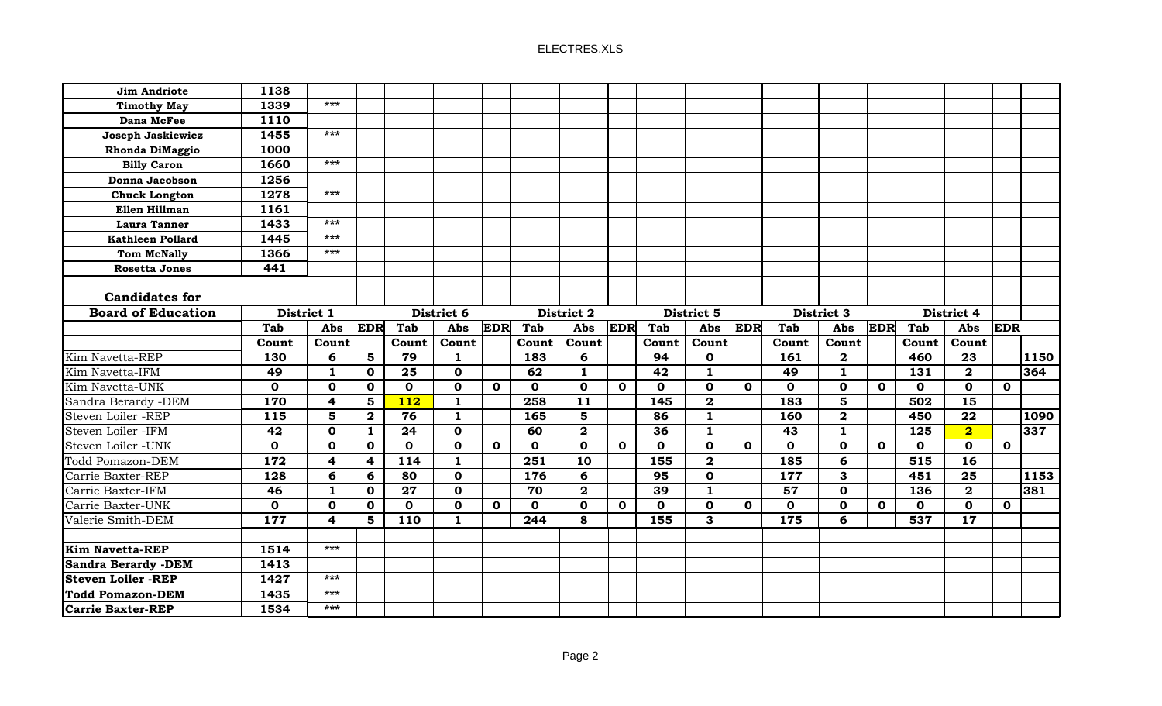| <b>Jim Andriote</b>                                  | 1138         |                         |                         |                  |              |             |             |                         |              |                 |              |              |              |              |              |             |                         |             |      |
|------------------------------------------------------|--------------|-------------------------|-------------------------|------------------|--------------|-------------|-------------|-------------------------|--------------|-----------------|--------------|--------------|--------------|--------------|--------------|-------------|-------------------------|-------------|------|
| <b>Timothy May</b>                                   | 1339         | $***$                   |                         |                  |              |             |             |                         |              |                 |              |              |              |              |              |             |                         |             |      |
| Dana McFee                                           | 1110         |                         |                         |                  |              |             |             |                         |              |                 |              |              |              |              |              |             |                         |             |      |
| Joseph Jaskiewicz                                    | 1455         | $***$                   |                         |                  |              |             |             |                         |              |                 |              |              |              |              |              |             |                         |             |      |
| <b>Rhonda DiMaggio</b>                               | 1000         |                         |                         |                  |              |             |             |                         |              |                 |              |              |              |              |              |             |                         |             |      |
| <b>Billy Caron</b>                                   | 1660         | $***$                   |                         |                  |              |             |             |                         |              |                 |              |              |              |              |              |             |                         |             |      |
| Donna Jacobson                                       | 1256         |                         |                         |                  |              |             |             |                         |              |                 |              |              |              |              |              |             |                         |             |      |
| <b>Chuck Longton</b>                                 | 1278         | $***$                   |                         |                  |              |             |             |                         |              |                 |              |              |              |              |              |             |                         |             |      |
| Ellen Hillman                                        | 1161         |                         |                         |                  |              |             |             |                         |              |                 |              |              |              |              |              |             |                         |             |      |
| <b>Laura Tanner</b>                                  | 1433         | $***$                   |                         |                  |              |             |             |                         |              |                 |              |              |              |              |              |             |                         |             |      |
| <b>Kathleen Pollard</b>                              | 1445         | $***$                   |                         |                  |              |             |             |                         |              |                 |              |              |              |              |              |             |                         |             |      |
| <b>Tom McNally</b>                                   | 1366         | $***$                   |                         |                  |              |             |             |                         |              |                 |              |              |              |              |              |             |                         |             |      |
| <b>Rosetta Jones</b>                                 | 441          |                         |                         |                  |              |             |             |                         |              |                 |              |              |              |              |              |             |                         |             |      |
|                                                      |              |                         |                         |                  |              |             |             |                         |              |                 |              |              |              |              |              |             |                         |             |      |
| <b>Candidates for</b>                                |              |                         |                         |                  |              |             |             |                         |              |                 |              |              |              |              |              |             |                         |             |      |
| <b>Board of Education</b>                            |              | District 1              |                         |                  | District 6   | District 2  |             |                         |              |                 | District 5   |              |              | District 3   |              | District 4  |                         |             |      |
|                                                      | <b>Tab</b>   | Abs                     | <b>EDR</b>              | <b>Tab</b>       | Abs          | <b>EDR</b>  | Tab         | Abs                     | <b>EDR</b>   | Tab             | Abs          | <b>EDR</b>   | Tab          | Abs          | <b>EDR</b>   | Tab         | Abs                     | <b>EDR</b>  |      |
|                                                      | Count        | Count                   |                         | Count            | Count        |             | Count       | Count                   |              | Count           | Count        |              | Count        | Count        |              | Count       | Count                   |             |      |
| Kim Navetta-REP                                      | 130          | 6                       | 5                       | 79               | -1           |             | 183         | 6                       |              | 94              | $\mathbf 0$  |              | 161          | $\mathbf{2}$ |              | 460         | 23                      |             | 1150 |
| Kim Navetta-IFM                                      | 49           | $\mathbf{1}$            | $\mathbf 0$             | 25               | $\mathbf 0$  |             | 62          | $\mathbf{1}$            |              | 42              | $\mathbf{1}$ |              | 49           | $\mathbf{1}$ |              | 131         | $\mathbf{2}$            |             | 364  |
| Kim Navetta-UNK                                      | $\mathbf{o}$ | $\mathbf 0$             | $\mathbf 0$             | $\mathbf{o}$     | $\mathbf 0$  | $\mathbf 0$ | $\mathbf 0$ | $\mathbf 0$             | $\mathbf{o}$ | $\mathbf{o}$    | $\mathbf 0$  | $\mathbf{o}$ | $\mathbf{o}$ | $\mathbf 0$  | $\mathbf{O}$ | $\mathbf 0$ | $\mathbf 0$             | $\mathbf 0$ |      |
| Sandra Berardy - DEM                                 | <b>170</b>   | $\overline{\mathbf{4}}$ | 5                       | $\overline{112}$ | 1            |             | 258         | $\overline{11}$         |              | 145             | $\mathbf{2}$ |              | 183          | 5            |              | 502         | $\overline{15}$         |             |      |
| Steven Loiler -REP                                   | 115          | 5                       | $\mathbf{2}$            | 76               | 1            |             | 165         | 5                       |              | 86              | 1            |              | 160          | $\mathbf{2}$ |              | 450         | 22                      |             | 1090 |
| Steven Loiler -IFM                                   | 42           | $\mathbf 0$             | $\mathbf{1}$            | 24               | $\mathbf 0$  |             | 60          | $\mathbf{2}$            |              | 36              | $\mathbf{1}$ |              | 43           | $\mathbf{1}$ |              | 125         | $\overline{\mathbf{2}}$ |             | 337  |
| Steven Loiler - UNK                                  | $\mathbf 0$  | $\mathbf 0$             | $\mathbf 0$             | $\mathbf 0$      | $\mathbf 0$  | $\mathbf 0$ | $\mathbf 0$ | $\mathbf{o}$            | $\mathbf 0$  | $\mathbf 0$     | $\mathbf 0$  | $\mathbf 0$  | $\mathbf 0$  | $\mathbf 0$  | $\mathbf 0$  | $\mathbf 0$ | $\mathbf 0$             | $\mathbf 0$ |      |
| <b>Todd Pomazon-DEM</b>                              | 172          | $\overline{\mathbf{4}}$ | $\overline{\mathbf{4}}$ | $\overline{114}$ | $\mathbf{1}$ |             | 251         | $\overline{10}$         |              | 155             | $\mathbf{2}$ |              | 185          | 6            |              | 515         | $\overline{16}$         |             |      |
| Carrie Baxter-REP                                    | 128          | 6                       | 6                       | 80               | $\mathbf 0$  |             | 176         | 6                       |              | 95              | $\mathbf 0$  |              | 177          | 3            |              | 451         | $\overline{25}$         |             | 1153 |
| Carrie Baxter-IFM                                    | 46           | $\mathbf{1}$            | $\mathbf 0$             | 27               | $\mathbf 0$  |             | 70          | $\overline{\mathbf{2}}$ |              | $\overline{39}$ | $\mathbf{1}$ |              | 57           | $\mathbf 0$  |              | 136         | $\overline{2}$          |             | 381  |
| Carrie Baxter-UNK                                    | $\mathbf 0$  | $\mathbf 0$             | $\mathbf 0$             | $\mathbf 0$      | $\mathbf 0$  | $\mathbf 0$ | $\mathbf 0$ | $\mathbf{O}$            | $\mathbf 0$  | $\mathbf 0$     | $\mathbf 0$  | $\mathbf 0$  | $\mathbf 0$  | $\mathbf 0$  | $\mathbf 0$  | $\mathbf 0$ | $\mathbf 0$             | $\mathbf 0$ |      |
| Valerie Smith-DEM                                    | 177          | $\overline{4}$          | 5                       | 110              | 1            |             | 244         | 8                       |              | 155             | 3            |              | 175          | 6            |              | 537         | $\overline{17}$         |             |      |
| Kim Navetta-REP                                      | 1514         | ***                     |                         |                  |              |             |             |                         |              |                 |              |              |              |              |              |             |                         |             |      |
| <b>Sandra Berardy -DEM</b>                           | 1413         |                         |                         |                  |              |             |             |                         |              |                 |              |              |              |              |              |             |                         |             |      |
|                                                      |              |                         |                         |                  |              |             |             |                         |              |                 |              |              |              |              |              |             |                         |             |      |
|                                                      |              | $***$                   |                         |                  |              |             |             |                         |              |                 |              |              |              |              |              |             |                         |             |      |
| <b>Steven Loiler -REP</b><br><b>Todd Pomazon-DEM</b> | 1427<br>1435 | ***                     |                         |                  |              |             |             |                         |              |                 |              |              |              |              |              |             |                         |             |      |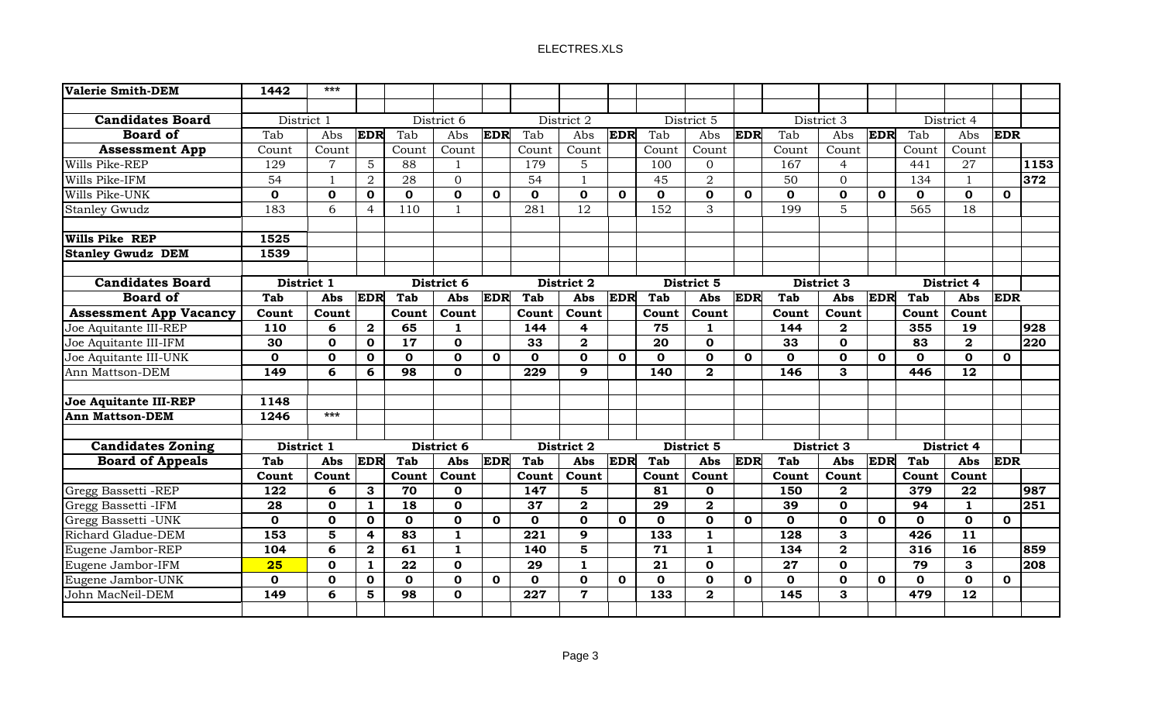| <b>Valerie Smith-DEM</b>      | 1442         | $***$          |                |                 |              |              |              |                |              |                 |                |              |             |                         |              |              |                 |              |      |
|-------------------------------|--------------|----------------|----------------|-----------------|--------------|--------------|--------------|----------------|--------------|-----------------|----------------|--------------|-------------|-------------------------|--------------|--------------|-----------------|--------------|------|
|                               |              |                |                |                 |              |              |              |                |              |                 |                |              |             |                         |              |              |                 |              |      |
| <b>Candidates Board</b>       | District 1   | District 6     |                |                 | District 2   |              |              | District 5     |              |                 | District 3     |              |             |                         | District 4   |              |                 |              |      |
| <b>Board of</b>               | Tab          | Abs            | <b>EDR</b>     | Tab             | Abs          | <b>EDR</b>   | Tab          | Abs            | <b>EDR</b>   | Tab             | Abs            | EDR          | Tab         | Abs                     | EDR          | Tab          | Abs             | <b>EDR</b>   |      |
| <b>Assessment App</b>         | Count        | Count          |                | Count           | Count        |              | Count        | Count          |              | Count           | Count          |              | Count       | Count                   |              | Count        | Count           |              |      |
| Wills Pike-REP                | 129          | $\overline{7}$ | 5              | 88              |              |              | 179          | 5              |              | 100             | $\mathbf{0}$   |              | 167         | $\overline{4}$          |              | 441          | 27              |              | 1153 |
| Wills Pike-IFM                | 54           | $\mathbf{1}$   | $\overline{2}$ | 28              | $\mathbf{0}$ |              | 54           |                |              | 45              | $\overline{2}$ |              | 50          | $\Omega$                |              | 134          |                 |              | 372  |
| Wills Pike-UNK                | $\mathbf 0$  | $\mathbf 0$    | 0              | 0               | $\mathbf 0$  | $\mathbf 0$  | $\mathbf 0$  | $\mathbf{0}$   | $\mathbf{0}$ | $\mathbf{o}$    | $\mathbf 0$    | $\mathbf{o}$ | $\mathbf 0$ | $\mathbf 0$             | $\mathbf{0}$ | $\mathbf{o}$ | $\mathbf 0$     | $\mathbf{o}$ |      |
| <b>Stanley Gwudz</b>          | 183          | 6              | 4              | 110             |              |              | 281          | 12             |              | 152             | 3              |              | 199         | 5                       |              | 565          | 18              |              |      |
|                               |              |                |                |                 |              |              |              |                |              |                 |                |              |             |                         |              |              |                 |              |      |
| Wills Pike REP                | 1525         |                |                |                 |              |              |              |                |              |                 |                |              |             |                         |              |              |                 |              |      |
| <b>Stanley Gwudz DEM</b>      | 1539         |                |                |                 |              |              |              |                |              |                 |                |              |             |                         |              |              |                 |              |      |
|                               |              |                |                |                 |              |              |              |                |              |                 |                |              |             |                         |              |              |                 |              |      |
| <b>Candidates Board</b>       | District 1   |                |                |                 | District 6   |              |              | District 2     |              |                 | District 5     |              |             | District 3              |              |              | District 4      |              |      |
| <b>Board of</b>               | <b>Tab</b>   | Abs            | <b>EDR</b>     | <b>Tab</b>      | Abs          | <b>EDR</b>   | <b>Tab</b>   | Abs            | <b>EDR</b>   | <b>Tab</b>      | Abs            | <b>EDR</b>   | <b>Tab</b>  | Abs                     | <b>EDR</b>   | <b>Tab</b>   | <b>Abs</b>      | <b>EDR</b>   |      |
| <b>Assessment App Vacancy</b> | Count        | Count          |                | Count           | Count        |              | Count        | Count          |              | Count           | Count          |              | Count       | Count                   |              | Count        | Count           |              |      |
| Joe Aquitante III-REP         | 110          | 6              | $\mathbf{2}$   | 65              | 1            |              | 144          | 4              |              | 75              | 1              |              | 144         | $\overline{\mathbf{2}}$ |              | 355          | 19              |              | 928  |
| Joe Aquitante III-IFM         | 30           | $\mathbf 0$    | 0              | 17              | $\mathbf 0$  |              | 33           | $\mathbf{2}$   |              | 20              | $\mathbf 0$    |              | 33          | $\mathbf 0$             |              | 83           | $\mathbf{2}$    |              | 220  |
| Joe Aquitante III-UNK         | $\mathbf{0}$ | $\mathbf 0$    | $\mathbf{O}$   | $\mathbf{0}$    | $\mathbf{O}$ | $\mathbf{O}$ | $\mathbf 0$  | $\mathbf{0}$   | $\mathbf{O}$ | $\mathbf{O}$    | $\mathbf 0$    | $\mathbf{o}$ | $\mathbf 0$ | $\mathbf 0$             | $\mathbf{0}$ | $\mathbf{o}$ | $\mathbf{0}$    | $\Omega$     |      |
| Ann Mattson-DEM               | 149          | 6              | 6              | $\overline{98}$ | $\mathbf{0}$ |              | 229          | 9              |              | 140             | $\mathbf{2}$   |              | 146         | 3                       |              | 446          | $\overline{12}$ |              |      |
|                               |              |                |                |                 |              |              |              |                |              |                 |                |              |             |                         |              |              |                 |              |      |
| Joe Aquitante III-REP         | 1148         | $***$          |                |                 |              |              |              |                |              |                 |                |              |             |                         |              |              |                 |              |      |
| <b>Ann Mattson-DEM</b>        | 1246         |                |                |                 |              |              |              |                |              |                 |                |              |             |                         |              |              |                 |              |      |
| <b>Candidates Zoning</b>      | District 1   |                |                |                 | District 6   |              |              | District 2     |              |                 | District 5     |              |             | District 3              |              |              | District 4      |              |      |
| <b>Board of Appeals</b>       | <b>Tab</b>   | Abs            | <b>EDR</b>     | Tab             | <b>Abs</b>   | <b>EDR</b>   | <b>Tab</b>   | Abs            | <b>EDR</b>   | Tab             | Abs            | <b>EDR</b>   | <b>Tab</b>  | Abs                     | <b>EDR</b>   | Tab          | <b>Abs</b>      | <b>EDR</b>   |      |
|                               | Count        | Count          |                | Count           | Count        |              | Count        | Count          |              | Count           | Count          |              | Count       | Count                   |              | Count        | Count           |              |      |
| Gregg Bassetti -REP           | 122          | 6              | 3              | 70              | $\mathbf{o}$ |              | 147          | 5              |              | 81              | $\Omega$       |              | 150         | $\mathbf{2}$            |              | 379          | 22              |              | 987  |
| Gregg Bassetti -IFM           | 28           | $\mathbf{0}$   | $\mathbf{1}$   | 18              | $\mathbf 0$  |              | 37           | $\mathbf{2}$   |              | 29              | $\overline{2}$ |              | 39          | $\mathbf 0$             |              | 94           | $\mathbf{1}$    |              | 251  |
| Gregg Bassetti - UNK          | $\mathbf{0}$ | $\mathbf 0$    | 0              | $\mathbf{0}$    | $\mathbf{0}$ | $\mathbf{o}$ | $\mathbf{O}$ | $\mathbf{0}$   | 0            | $\Omega$        | $\mathbf 0$    | $\mathbf{o}$ | $\mathbf 0$ | $\mathbf{o}$            | $\Omega$     | $\mathbf{o}$ | $\Omega$        | $\Omega$     |      |
| Richard Gladue-DEM            | 153          | 5              | 4              | 83              | 1            |              | 221          | 9              |              | 133             | $\mathbf{1}$   |              | 128         | 3                       |              | 426          | 11              |              |      |
| Eugene Jambor-REP             | 104          | 6              | $\mathbf{2}$   | 61              | 1            |              | 140          | 5              |              | 71              | $\mathbf{1}$   |              | 134         | $\mathbf{2}$            |              | 316          | 16              |              | 859  |
| Eugene Jambor-IFM             | 25           | $\mathbf 0$    | $\mathbf{1}$   | 22              | $\mathbf 0$  |              | 29           | $\mathbf{1}$   |              | $\overline{21}$ | $\mathbf 0$    |              | 27          | $\mathbf 0$             |              | 79           | 3               |              | 208  |
| Eugene Jambor-UNK             | $\mathbf{o}$ | $\mathbf 0$    | $\mathbf 0$    | $\mathbf{O}$    | $\mathbf 0$  | $\mathbf 0$  | $\mathbf 0$  | $\mathbf 0$    | $\mathbf{o}$ | $\mathbf{0}$    | $\mathbf 0$    | $\mathbf{o}$ | $\mathbf 0$ | $\mathbf 0$             | $\mathbf{0}$ | $\mathbf 0$  | $\mathbf 0$     | $\mathbf 0$  |      |
| John MacNeil-DEM              | 149          | 6              | 5              | $\overline{98}$ | $\mathbf 0$  |              | 227          | $\overline{7}$ |              | 133             | $\overline{2}$ |              | 145         | 3                       |              | 479          | 12              |              |      |
|                               |              |                |                |                 |              |              |              |                |              |                 |                |              |             |                         |              |              |                 |              |      |